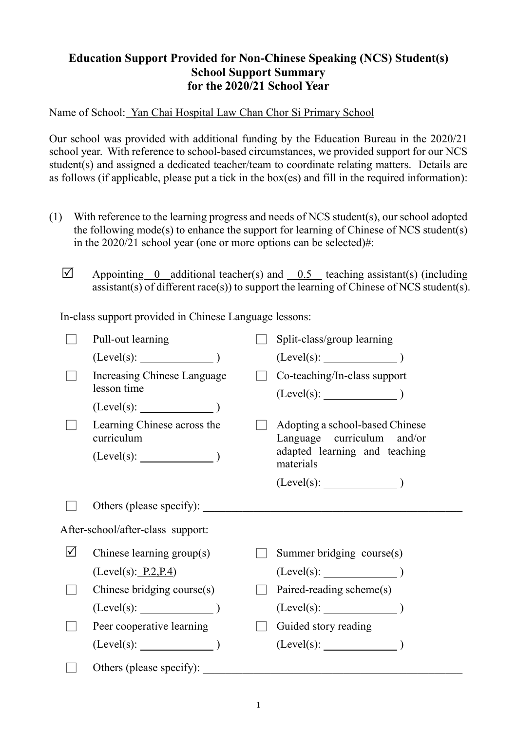## **Education Support Provided for Non-Chinese Speaking (NCS) Student(s) School Support Summary for the 2020/21 School Year**

Name of School: Yan Chai Hospital Law Chan Chor Si Primary School

Our school was provided with additional funding by the Education Bureau in the 2020/21 school year. With reference to school-based circumstances, we provided support for our NCS student(s) and assigned a dedicated teacher/team to coordinate relating matters. Details are as follows (if applicable, please put a tick in the box(es) and fill in the required information):

- (1) With reference to the learning progress and needs of NCS student(s), our school adopted the following mode(s) to enhance the support for learning of Chinese of NCS student(s) in the 2020/21 school year (one or more options can be selected)#:
	- $\triangledown$  Appointing 0 additional teacher(s) and 0.5 teaching assistant(s) (including assistant(s) of different race(s)) to support the learning of Chinese of NCS student(s).

In-class support provided in Chinese Language lessons:

|                                   | Pull-out learning                          |  | Split-class/group learning                                                                     |  |  |
|-----------------------------------|--------------------------------------------|--|------------------------------------------------------------------------------------------------|--|--|
|                                   | (Level(s):                                 |  | (Level(s):                                                                                     |  |  |
|                                   | Increasing Chinese Language<br>lesson time |  | Co-teaching/In-class support                                                                   |  |  |
|                                   | $(Level(s):$ $)$                           |  |                                                                                                |  |  |
|                                   | Learning Chinese across the<br>curriculum  |  | Adopting a school-based Chinese<br>Language curriculum and/or<br>adapted learning and teaching |  |  |
|                                   | $(Level(s):$ $)$                           |  | materials                                                                                      |  |  |
|                                   |                                            |  |                                                                                                |  |  |
|                                   | Others (please specify):                   |  |                                                                                                |  |  |
| After-school/after-class support: |                                            |  |                                                                                                |  |  |
| $\Delta$                          | Chinese learning group(s)                  |  | Summer bridging course(s)                                                                      |  |  |
|                                   | (Level(s): P.2, P.4)                       |  |                                                                                                |  |  |
|                                   | Chinese bridging course(s)                 |  | Paired-reading scheme(s)                                                                       |  |  |
|                                   | (Level(s):                                 |  | $(Level(s):$ (Level(s):                                                                        |  |  |
|                                   | Peer cooperative learning                  |  | Guided story reading                                                                           |  |  |
|                                   | (Level(s):                                 |  | $(Level(s):$ $)$                                                                               |  |  |
|                                   | Others (please specify):                   |  |                                                                                                |  |  |